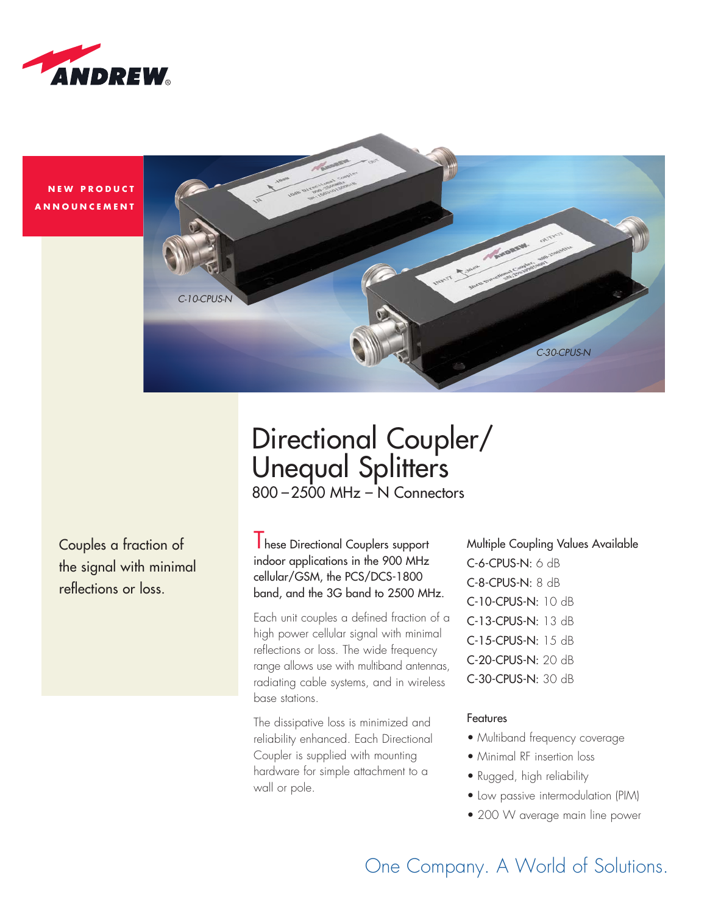

**NEW PRODUCT ANNOUNCEMENT** 



# 800 –2500 MHz – N Connectors Directional Coupler/ Unequal Splitters

Couples a fraction of the signal with minimal reflections or loss.

**I** hese Directional Couplers support indoor applications in the 900 MHz cellular/GSM, the PCS/DCS-1800 band, and the 3G band to 2500 MHz.

Each unit couples a defined fraction of a high power cellular signal with minimal reflections or loss. The wide frequency range allows use with multiband antennas, radiating cable systems, and in wireless base stations.

The dissipative loss is minimized and reliability enhanced. Each Directional Coupler is supplied with mounting hardware for simple attachment to a wall or pole.

Multiple Coupling Values Available C-6-CPUS-N: 6 dB C-8-CPUS-N: 8 dB C-10-CPUS-N: 10 dB C-13-CPUS-N: 13 dB C-15-CPUS-N: 15 dB C-20-CPUS-N: 20 dB C-30-CPUS-N: 30 dB

### Features

- Multiband frequency coverage
- Minimal RF insertion loss
- Rugged, high reliability
- Low passive intermodulation (PIM)
- 200 W average main line power

One Company. A World of Solutions.